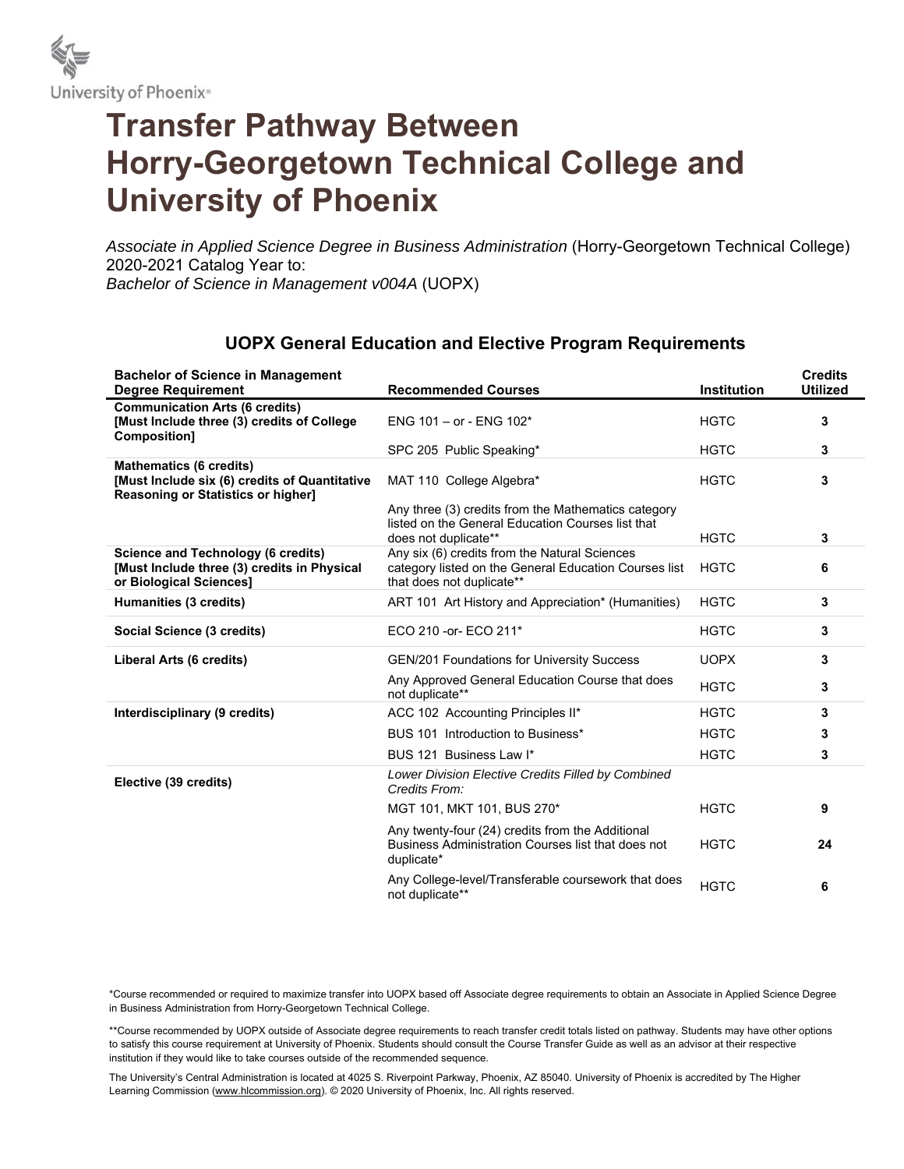

## **Transfer Pathway Between Horry-Georgetown Technical College and University of Phoenix**

*Associate in Applied Science Degree in Business Administration* (Horry-Georgetown Technical College) 2020-2021 Catalog Year to: *Bachelor of Science in Management v004A* (UOPX)

| <b>Bachelor of Science in Management</b><br><b>Degree Requirement</b>                                                        | <b>Recommended Courses</b>                                                                                                          | <b>Institution</b> | <b>Credits</b><br><b>Utilized</b> |
|------------------------------------------------------------------------------------------------------------------------------|-------------------------------------------------------------------------------------------------------------------------------------|--------------------|-----------------------------------|
| <b>Communication Arts (6 credits)</b><br>[Must Include three (3) credits of College<br>Composition]                          | ENG 101 - or - ENG 102*                                                                                                             | <b>HGTC</b>        | 3                                 |
|                                                                                                                              | SPC 205 Public Speaking*                                                                                                            | <b>HGTC</b>        | 3                                 |
| <b>Mathematics (6 credits)</b><br>[Must Include six (6) credits of Quantitative<br><b>Reasoning or Statistics or higher]</b> | MAT 110 College Algebra*                                                                                                            | <b>HGTC</b>        | 3                                 |
|                                                                                                                              | Any three (3) credits from the Mathematics category<br>listed on the General Education Courses list that<br>does not duplicate**    | <b>HGTC</b>        | 3                                 |
| <b>Science and Technology (6 credits)</b><br>[Must Include three (3) credits in Physical<br>or Biological Sciences]          | Any six (6) credits from the Natural Sciences<br>category listed on the General Education Courses list<br>that does not duplicate** | <b>HGTC</b>        | 6                                 |
| Humanities (3 credits)                                                                                                       | ART 101 Art History and Appreciation* (Humanities)                                                                                  | <b>HGTC</b>        | 3                                 |
| Social Science (3 credits)                                                                                                   | ECO 210 - or - ECO 211*                                                                                                             | <b>HGTC</b>        | 3                                 |
| Liberal Arts (6 credits)                                                                                                     | <b>GEN/201 Foundations for University Success</b>                                                                                   | <b>UOPX</b>        | 3                                 |
|                                                                                                                              | Any Approved General Education Course that does<br>not duplicate**                                                                  | <b>HGTC</b>        | 3                                 |
| Interdisciplinary (9 credits)                                                                                                | ACC 102 Accounting Principles II*                                                                                                   | <b>HGTC</b>        | 3                                 |
|                                                                                                                              | BUS 101 Introduction to Business*                                                                                                   | <b>HGTC</b>        | 3                                 |
|                                                                                                                              | BUS 121 Business Law I*                                                                                                             | <b>HGTC</b>        | 3                                 |
| Elective (39 credits)                                                                                                        | <b>Lower Division Elective Credits Filled by Combined</b><br>Credits From:                                                          |                    |                                   |
|                                                                                                                              | MGT 101, MKT 101, BUS 270*                                                                                                          | <b>HGTC</b>        | 9                                 |
|                                                                                                                              | Any twenty-four (24) credits from the Additional<br>Business Administration Courses list that does not<br>duplicate*                | <b>HGTC</b>        | 24                                |
|                                                                                                                              | Any College-level/Transferable coursework that does<br>not duplicate**                                                              | <b>HGTC</b>        | 6                                 |

## **UOPX General Education and Elective Program Requirements**

\*Course recommended or required to maximize transfer into UOPX based off Associate degree requirements to obtain an Associate in Applied Science Degree in Business Administration from Horry-Georgetown Technical College.

\*\*Course recommended by UOPX outside of Associate degree requirements to reach transfer credit totals listed on pathway. Students may have other options to satisfy this course requirement at University of Phoenix. Students should consult the Course Transfer Guide as well as an advisor at their respective institution if they would like to take courses outside of the recommended sequence.

The University's Central Administration is located at 4025 S. Riverpoint Parkway, Phoenix, AZ 85040. University of Phoenix is accredited by The Higher Learning Commission (www.hlcommission.org). © 2020 University of Phoenix, Inc. All rights reserved.